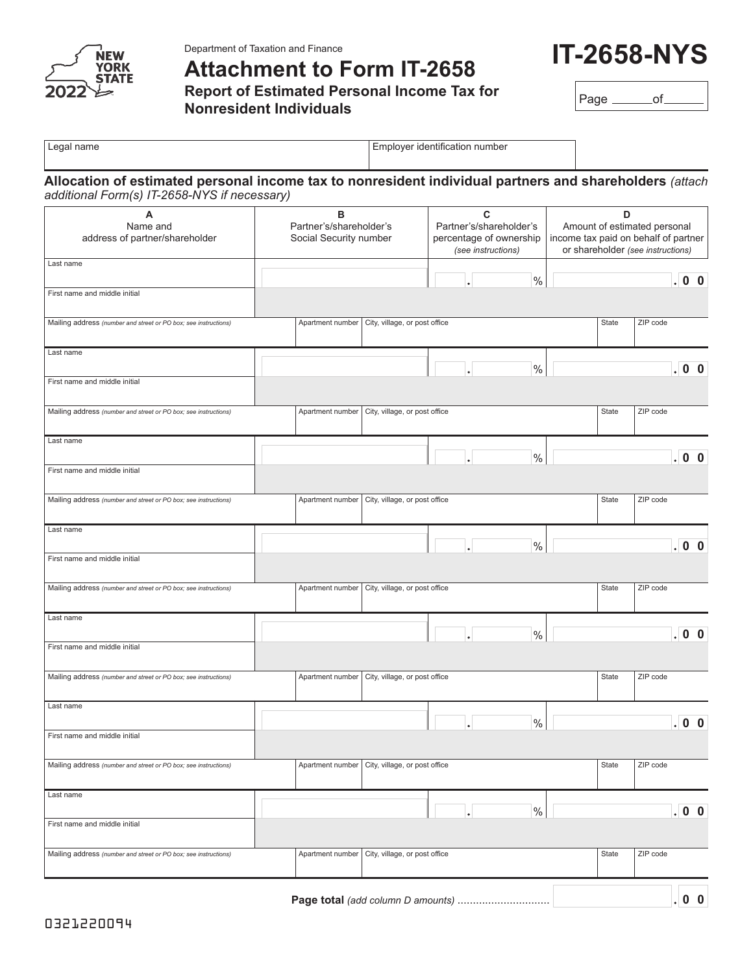

Department of Taxation and Finance

**Attachment to Form IT-2658**

**Report of Estimated Personal Income Tax for Nonresident Individuals**

**IT-2658-NYS**

Page \_\_\_\_\_\_\_of\_

| Legal name                                                                                                                                              | Employer identification number                         |                                                                               |      |                                                                                                                |                  |  |
|---------------------------------------------------------------------------------------------------------------------------------------------------------|--------------------------------------------------------|-------------------------------------------------------------------------------|------|----------------------------------------------------------------------------------------------------------------|------------------|--|
| Allocation of estimated personal income tax to nonresident individual partners and shareholders (attach<br>additional Form(s) IT-2658-NYS if necessary) |                                                        |                                                                               |      |                                                                                                                |                  |  |
| A<br>Name and<br>address of partner/shareholder                                                                                                         | в<br>Partner's/shareholder's<br>Social Security number | C<br>Partner's/shareholder's<br>percentage of ownership<br>(see instructions) |      | D<br>Amount of estimated personal<br>income tax paid on behalf of partner<br>or shareholder (see instructions) |                  |  |
| Last name                                                                                                                                               |                                                        |                                                                               | $\%$ |                                                                                                                | .00              |  |
| First name and middle initial                                                                                                                           |                                                        |                                                                               |      |                                                                                                                |                  |  |
| Mailing address (number and street or PO box; see instructions)                                                                                         | Apartment number                                       | City, village, or post office                                                 |      | State                                                                                                          | ZIP code         |  |
| Last name                                                                                                                                               |                                                        |                                                                               | $\%$ |                                                                                                                | .00              |  |
| First name and middle initial                                                                                                                           |                                                        |                                                                               |      |                                                                                                                |                  |  |
| Mailing address (number and street or PO box; see instructions)                                                                                         | Apartment number                                       | City, village, or post office                                                 |      | State                                                                                                          | ZIP code         |  |
| Last name                                                                                                                                               |                                                        |                                                                               | $\%$ |                                                                                                                | $\overline{0}$ 0 |  |
| First name and middle initial                                                                                                                           |                                                        |                                                                               |      |                                                                                                                |                  |  |
| Mailing address (number and street or PO box; see instructions)                                                                                         | Apartment number                                       | City, village, or post office                                                 |      | State                                                                                                          | ZIP code         |  |
| Last name                                                                                                                                               |                                                        |                                                                               | $\%$ |                                                                                                                | .00              |  |
| First name and middle initial                                                                                                                           |                                                        |                                                                               |      |                                                                                                                |                  |  |
| Mailing address (number and street or PO box; see instructions)                                                                                         | Apartment number                                       | City, village, or post office                                                 |      | State                                                                                                          | ZIP code         |  |
| Last name                                                                                                                                               |                                                        |                                                                               | $\%$ |                                                                                                                | $\overline{0}$ 0 |  |
| First name and middle initial                                                                                                                           |                                                        |                                                                               |      |                                                                                                                |                  |  |
| Mailing address (number and street or PO box; see instructions)                                                                                         | Apartment number                                       | City, village, or post office                                                 |      | State                                                                                                          | ZIP code         |  |
| Last name                                                                                                                                               |                                                        |                                                                               | $\%$ |                                                                                                                | .00              |  |
| First name and middle initial                                                                                                                           |                                                        |                                                                               |      |                                                                                                                |                  |  |
| Mailing address (number and street or PO box; see instructions)                                                                                         | Apartment number                                       | City, village, or post office                                                 |      | State                                                                                                          | ZIP code         |  |
| Last name                                                                                                                                               |                                                        |                                                                               | $\%$ |                                                                                                                | .00              |  |
| First name and middle initial                                                                                                                           |                                                        |                                                                               |      |                                                                                                                |                  |  |
| Mailing address (number and street or PO box; see instructions)                                                                                         | Apartment number                                       | City, village, or post office                                                 |      | State                                                                                                          | ZIP code         |  |
|                                                                                                                                                         |                                                        |                                                                               |      |                                                                                                                | $ 0 \t0$         |  |